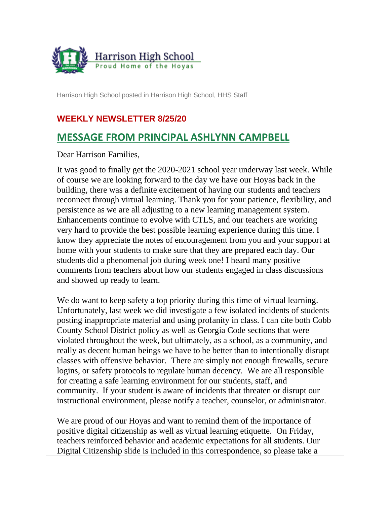

Harrison High School posted in Harrison High School, HHS Staff

#### **WEEKLY NEWSLETTER 8/25/20**

### **MESSAGE FROM PRINCIPAL ASHLYNN CAMPBELL**

Dear Harrison Families,

It was good to finally get the 2020-2021 school year underway last week. While of course we are looking forward to the day we have our Hoyas back in the building, there was a definite excitement of having our students and teachers reconnect through virtual learning. Thank you for your patience, flexibility, and persistence as we are all adjusting to a new learning management system. Enhancements continue to evolve with CTLS, and our teachers are working very hard to provide the best possible learning experience during this time. I know they appreciate the notes of encouragement from you and your support at home with your students to make sure that they are prepared each day. Our students did a phenomenal job during week one! I heard many positive comments from teachers about how our students engaged in class discussions and showed up ready to learn.

We do want to keep safety a top priority during this time of virtual learning. Unfortunately, last week we did investigate a few isolated incidents of students posting inappropriate material and using profanity in class. I can cite both Cobb County School District policy as well as Georgia Code sections that were violated throughout the week, but ultimately, as a school, as a community, and really as decent human beings we have to be better than to intentionally disrupt classes with offensive behavior. There are simply not enough firewalls, secure logins, or safety protocols to regulate human decency. We are all responsible for creating a safe learning environment for our students, staff, and community. If your student is aware of incidents that threaten or disrupt our instructional environment, please notify a teacher, counselor, or administrator.

We are proud of our Hoyas and want to remind them of the importance of positive digital citizenship as well as virtual learning etiquette. On Friday, teachers reinforced behavior and academic expectations for all students. Our Digital Citizenship slide is included in this correspondence, so please take a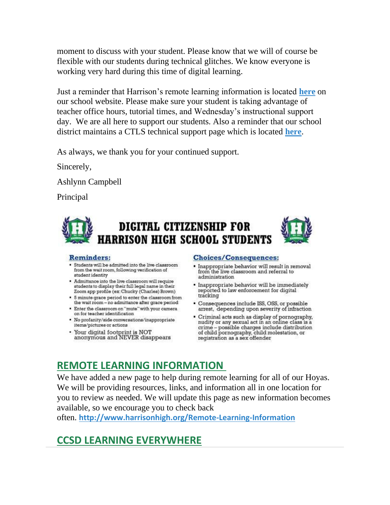moment to discuss with your student. Please know that we will of course be flexible with our students during technical glitches. We know everyone is working very hard during this time of digital learning.

Just a reminder that Harrison's remote learning information is located **[here](http://www.harrisonhigh.org/Remote-Learning-Information)** on our school website. Please make sure your student is taking advantage of teacher office hours, tutorial times, and Wednesday's instructional support day. We are all here to support our students. Also a reminder that our school district maintains a CTLS technical support page which is located **[here](http://cobbcast.cobbk12.org/?p=34393)**.

As always, we thank you for your continued support.

Sincerely,

Ashlynn Campbell

Principal





#### **Reminders:**

- . Students will be admitted into the live classroom from the wait room, following verification of student identity
- Admittance into the live classroom will require students to display their full legal name in their Zoom app profile (ex: Chucky (Charles) Brown)
- 5 minute grace period to enter the classroom from the wait room - no admittance after grace period
- . Enter the classroom on "mute" with your camera on for teacher identification
- · No profanity/side conversations/inappropriate items/pictures or actions
- Your digital footprint is NOT<br>anonymous and NEVER disappears

#### **Choices/Consequences:**

- · Inappropriate behavior will result in removal from the live classroom and referral to administration
- · Inappropriate behavior will be immediately reported to law enforcement for digital tracking
- Consequences include ISS, OSS, or possible arrest, depending upon severity of infraction
- Criminal acts such as display of pornography,<br>nudity or any sexual act in an online class is a crime - possible charges include distribution of child pornography, child molestation, or registration as a sex offender

# **REMOTE LEARNING INFORMATION**

We have added a new page to help during remote learning for all of our Hoyas. We will be providing resources, links, and information all in one location for you to review as needed. We will update this page as new information becomes available, so we encourage you to check back

often. **<http://www.harrisonhigh.org/Remote-Learning-Information>**

# **CCSD LEARNING EVERYWHERE**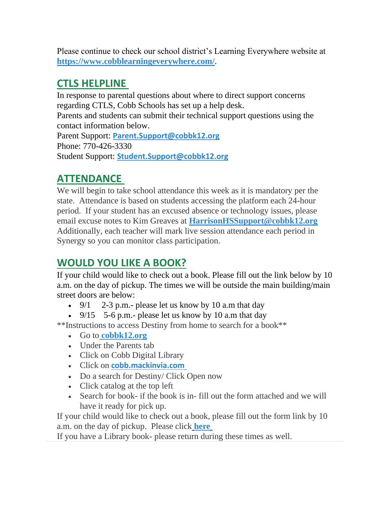Please continue to check our school district's Learning Everywhere website at **<https://www.cobblearningeverywhere.com/>**.

### **CTLS HELPLINE**

In response to parental questions about where to direct support concerns regarding CTLS, Cobb Schools has set up a help desk. Parents and students can submit their technical support questions using the contact information below. Parent Support: **[Parent.Support@cobbk12.org](http://Parent.Support@cobbk12.org)** Phone: 770-426-3330 Student Support: **[Student.Support@cobbk12.org](http://Student.Support@cobbk12.org)**

# **ATTENDANCE**

We will begin to take school attendance this week as it is mandatory per the state. Attendance is based on students accessing the platform each 24-hour period. If your student has an excused absence or technology issues, please email excuse notes to Kim Greaves at **[HarrisonHSSupport@cobbk12.org](http://HarrisonHSSupport@cobbk12.org)** Additionally, each teacher will mark live session attendance each period in Synergy so you can monitor class participation.

# **WOULD YOU LIKE A BOOK?**

If your child would like to check out a book. Please fill out the link below by 10 a.m. on the day of pickup. The times we will be outside the main building/main street doors are below:

- 9/1 2-3 p.m.- please let us know by 10 a.m that day
- 9/15  $5-6$  p.m.- please let us know by 10 a.m that day

\*\*Instructions to access Destiny from home to search for a book\*\*

- Go to **[cobbk12.org](http://cobbk12.org/)**
- Under the Parents tab
- Click on Cobb Digital Library
- Click on **[cobb.mackinvia.com](https://cobb.mackinvia.com/groups?groupName=all)**
- Do a search for Destiny/ Click Open now
- Click catalog at the top left
- Search for book- if the book is in- fill out the form attached and we will have it ready for pick up.

If your child would like to check out a book, please fill out the form link by 10 a.m. on the day of pickup. Please click **[here](https://forms.office.com/Pages/ResponsePage.aspx?id=-x3OL5-ROEmquMR_D8kYLZ8d62ibOd5NpTUkj3zhIkhUNUhOVFROVDRJT0FTVVlDVFhRSDhHODdTUS4u)**

If you have a Library book- please return during these times as well.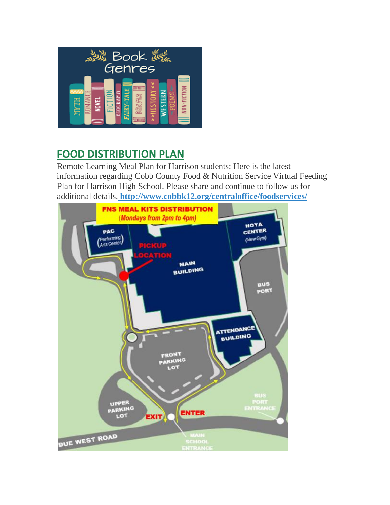

# **FOOD DISTRIBUTION PLAN**

Remote Learning Meal Plan for Harrison students: Here is the latest information regarding Cobb County Food & Nutrition Service Virtual Feeding Plan for Harrison High School. Please share and continue to follow us for additional details. **<http://www.cobbk12.org/centraloffice/foodservices/>**

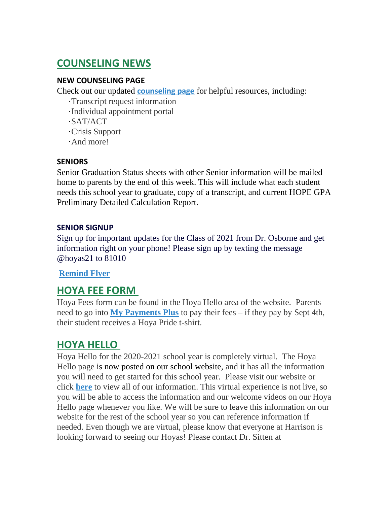# **COUNSELING NEWS**

#### **NEW COUNSELING PAGE**

Check out our updated **[counseling page](http://www.harrisonhigh.org/School_Counseling)** for helpful resources, including:

- ·Transcript request information
- ·Individual appointment portal
- ·SAT/ACT
- ·Crisis Support
- ·And more!

#### **SENIORS**

Senior Graduation Status sheets with other Senior information will be mailed home to parents by the end of this week. This will include what each student needs this school year to graduate, copy of a transcript, and current HOPE GPA Preliminary Detailed Calculation Report.

#### **SENIOR SIGNUP**

Sign up for important updates for the Class of 2021 from Dr. Osborne and get information right on your phone! Please sign up by texting the message @hoyas21 to 81010

#### **Remind Flyer**

### **HOYA FEE FORM**

Hoya Fees form can be found in the Hoya Hello area of the website. Parents need to go into **[My Payments Plus](https://www2.mypaymentsplus.com/welcome)** to pay their fees – if they pay by Sept 4th, their student receives a Hoya Pride t-shirt.

### **HOYA HELLO**

Hoya Hello for the 2020-2021 school year is completely virtual. The Hoya Hello page is now posted on our school website, and it has all the information you will need to get started for this school year. Please visit our website or click **[here](http://www.harrisonhigh.org/Hoya-Hello)** to view all of our information. This virtual experience is not live, so you will be able to access the information and our welcome videos on our Hoya Hello page whenever you like. We will be sure to leave this information on our website for the rest of the school year so you can reference information if needed. Even though we are virtual, please know that everyone at Harrison is looking forward to seeing our Hoyas! Please contact Dr. Sitten at